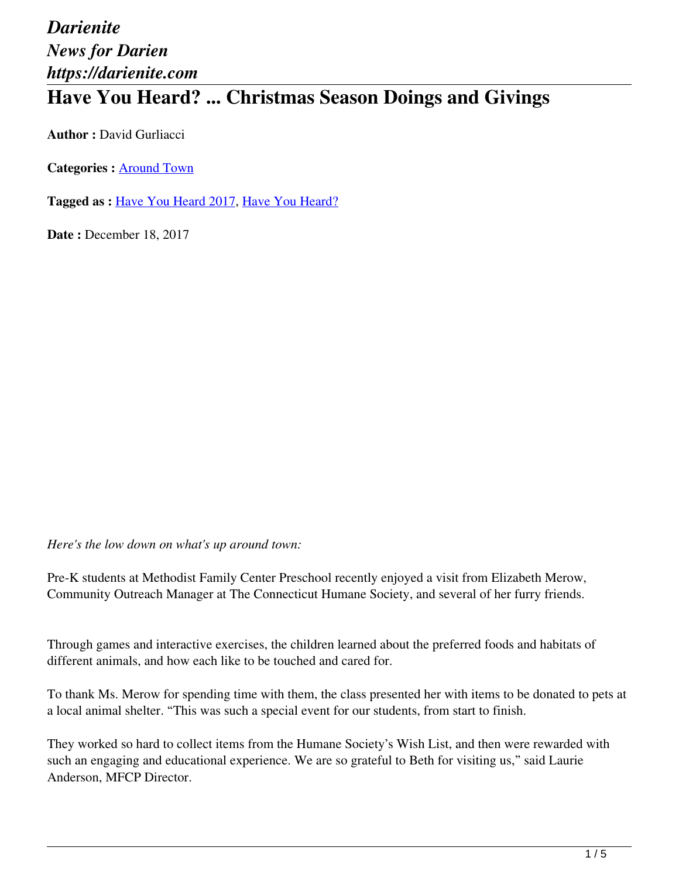## *Darienite News for Darien https://darienite.com* **Have You Heard? ... Christmas Season Doings and Givings**

**Author :** David Gurliacci

**Categories :** [Around Town](https://darienite.com/category/news/around-town)

**Tagged as :** Have You Heard 2017, Have You Heard?

**Date : December 18, 2017** 

*Here's the low down on what's up around town:*

Pre-K students at Methodist Family Center Preschool recently enjoyed a visit from Elizabeth Merow, Community Outreach Manager at The Connecticut Humane Society, and several of her furry friends.

Through games and interactive exercises, the children learned about the preferred foods and habitats of different animals, and how each like to be touched and cared for.

To thank Ms. Merow for spending time with them, the class presented her with items to be donated to pets at a local animal shelter. "This was such a special event for our students, from start to finish.

They worked so hard to collect items from the Humane Society's Wish List, and then were rewarded with such an engaging and educational experience. We are so grateful to Beth for visiting us," said Laurie Anderson, MFCP Director.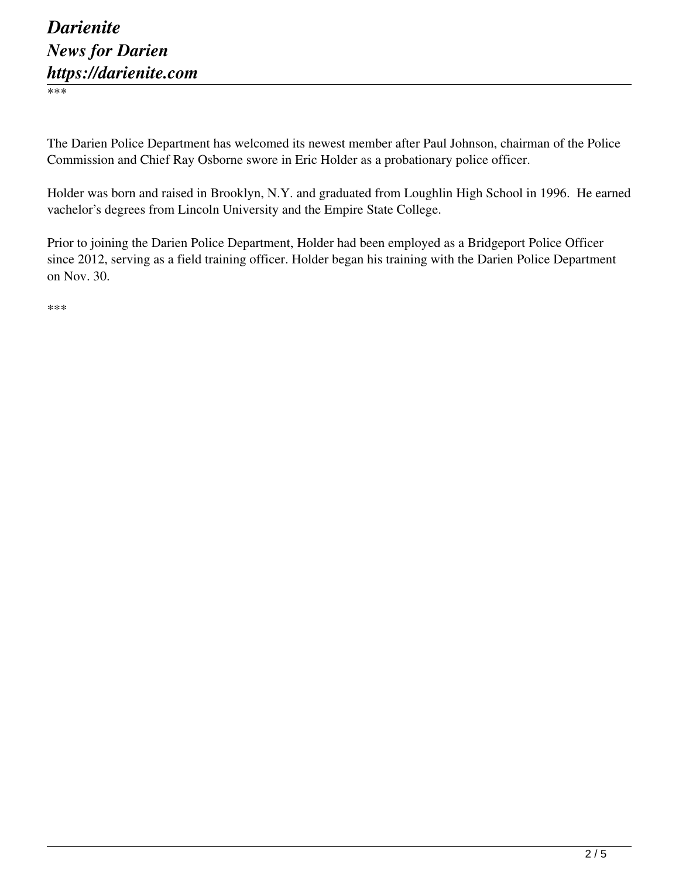\*\*\*

The Darien Police Department has welcomed its newest member after Paul Johnson, chairman of the Police Commission and Chief Ray Osborne swore in Eric Holder as a probationary police officer.

Holder was born and raised in Brooklyn, N.Y. and graduated from Loughlin High School in 1996. He earned vachelor's degrees from Lincoln University and the Empire State College.

Prior to joining the Darien Police Department, Holder had been employed as a Bridgeport Police Officer since 2012, serving as a field training officer. Holder began his training with the Darien Police Department on Nov. 30.

\*\*\*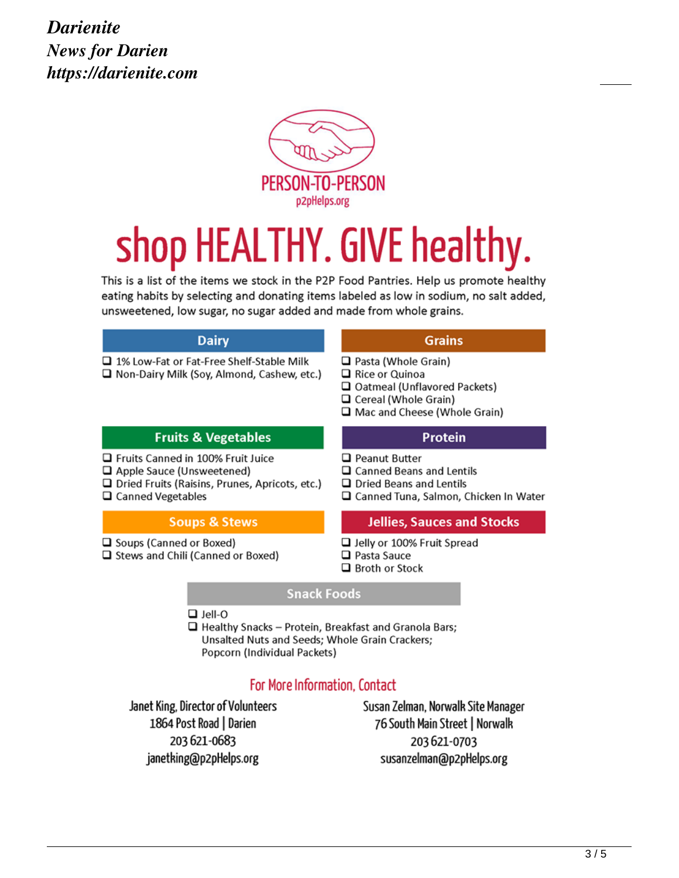

## shop HEALTHY. GIVE healthy.

This is a list of the items we stock in the P2P Food Pantries. Help us promote healthy eating habits by selecting and donating items labeled as low in sodium, no salt added, unsweetened, low sugar, no sugar added and made from whole grains.

| <b>Dairy</b>                                                                                                                                          | <b>Grains</b>                                                                                                                                          |
|-------------------------------------------------------------------------------------------------------------------------------------------------------|--------------------------------------------------------------------------------------------------------------------------------------------------------|
| □ 1% Low-Fat or Fat-Free Shelf-Stable Milk<br>□ Non-Dairy Milk (Soy, Almond, Cashew, etc.)                                                            | $\Box$ Pasta (Whole Grain)<br>$\Box$ Rice or Quinoa<br>□ Oatmeal (Unflavored Packets)<br>$\Box$ Cereal (Whole Grain)<br>□ Mac and Cheese (Whole Grain) |
| <b>Fruits &amp; Vegetables</b>                                                                                                                        | <b>Protein</b>                                                                                                                                         |
| □ Fruits Canned in 100% Fruit Juice<br>Apple Sauce (Unsweetened)<br>$\Box$ Dried Fruits (Raisins, Prunes, Apricots, etc.)<br>$\Box$ Canned Vegetables | □ Peanut Butter<br>□ Canned Beans and Lentils<br>□ Dried Beans and Lentils<br>□ Canned Tuna, Salmon, Chicken In Water                                  |
| <b>Soups &amp; Stews</b>                                                                                                                              | <b>Jellies, Sauces and Stocks</b>                                                                                                                      |
| □ Soups (Canned or Boxed)<br>Stews and Chili (Canned or Boxed)                                                                                        | □ Jelly or 100% Fruit Spread<br>$\Box$ Pasta Sauce<br>$\Box$ Broth or Stock                                                                            |

## **Snack Foods**

 $\Box$  Jell-O

 $\Box$  Healthy Snacks - Protein, Breakfast and Granola Bars; Unsalted Nuts and Seeds; Whole Grain Crackers; Popcorn (Individual Packets)

## For More Information, Contact

Janet King, Director of Volunteers 1864 Post Road | Darien 203 621 - 0683 janetking@p2pHelps.org

Susan Zelman, Norwalk Site Manager 76 South Main Street | Norwalk 203 621 - 0703 susanzelman@p2pHelps.org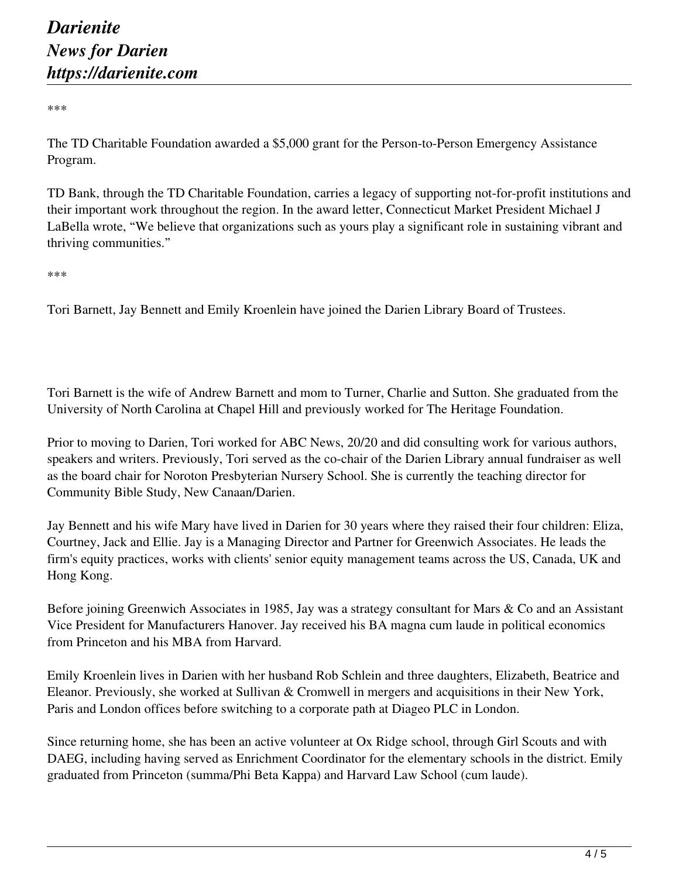\*\*\*

The TD Charitable Foundation awarded a \$5,000 grant for the Person-to-Person Emergency Assistance Program.

TD Bank, through the TD Charitable Foundation, carries a legacy of supporting not-for-profit institutions and their important work throughout the region. In the award letter, Connecticut Market President Michael J LaBella wrote, "We believe that organizations such as yours play a significant role in sustaining vibrant and thriving communities."

\*\*\*

Tori Barnett, Jay Bennett and Emily Kroenlein have joined the Darien Library Board of Trustees.

Tori Barnett is the wife of Andrew Barnett and mom to Turner, Charlie and Sutton. She graduated from the University of North Carolina at Chapel Hill and previously worked for The Heritage Foundation.

Prior to moving to Darien, Tori worked for ABC News, 20/20 and did consulting work for various authors, speakers and writers. Previously, Tori served as the co-chair of the Darien Library annual fundraiser as well as the board chair for Noroton Presbyterian Nursery School. She is currently the teaching director for Community Bible Study, New Canaan/Darien.

Jay Bennett and his wife Mary have lived in Darien for 30 years where they raised their four children: Eliza, Courtney, Jack and Ellie. Jay is a Managing Director and Partner for Greenwich Associates. He leads the firm's equity practices, works with clients' senior equity management teams across the US, Canada, UK and Hong Kong.

Before joining Greenwich Associates in 1985, Jay was a strategy consultant for Mars & Co and an Assistant Vice President for Manufacturers Hanover. Jay received his BA magna cum laude in political economics from Princeton and his MBA from Harvard.

Emily Kroenlein lives in Darien with her husband Rob Schlein and three daughters, Elizabeth, Beatrice and Eleanor. Previously, she worked at Sullivan & Cromwell in mergers and acquisitions in their New York, Paris and London offices before switching to a corporate path at Diageo PLC in London.

Since returning home, she has been an active volunteer at Ox Ridge school, through Girl Scouts and with DAEG, including having served as Enrichment Coordinator for the elementary schools in the district. Emily graduated from Princeton (summa/Phi Beta Kappa) and Harvard Law School (cum laude).